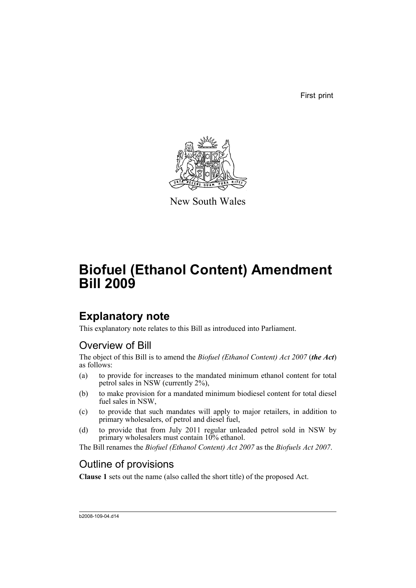First print



New South Wales

# **Biofuel (Ethanol Content) Amendment Bill 2009**

## **Explanatory note**

This explanatory note relates to this Bill as introduced into Parliament.

## Overview of Bill

The object of this Bill is to amend the *Biofuel (Ethanol Content) Act 2007* (*the Act*) as follows:

- (a) to provide for increases to the mandated minimum ethanol content for total petrol sales in NSW (currently 2%),
- (b) to make provision for a mandated minimum biodiesel content for total diesel fuel sales in NSW.
- (c) to provide that such mandates will apply to major retailers, in addition to primary wholesalers, of petrol and diesel fuel,
- (d) to provide that from July 2011 regular unleaded petrol sold in NSW by primary wholesalers must contain 10% ethanol.

The Bill renames the *Biofuel (Ethanol Content) Act 2007* as the *Biofuels Act 2007*.

## Outline of provisions

**Clause 1** sets out the name (also called the short title) of the proposed Act.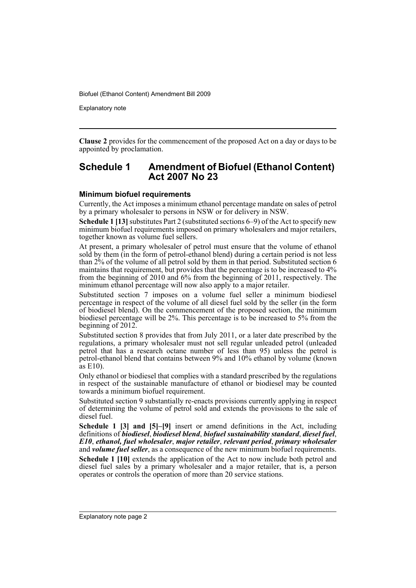Explanatory note

**Clause 2** provides for the commencement of the proposed Act on a day or days to be appointed by proclamation.

### **Schedule 1 Amendment of Biofuel (Ethanol Content) Act 2007 No 23**

#### **Minimum biofuel requirements**

Currently, the Act imposes a minimum ethanol percentage mandate on sales of petrol by a primary wholesaler to persons in NSW or for delivery in NSW.

**Schedule 1 [13]** substitutes Part 2 (substituted sections 6–9) of the Act to specify new minimum biofuel requirements imposed on primary wholesalers and major retailers, together known as volume fuel sellers.

At present, a primary wholesaler of petrol must ensure that the volume of ethanol sold by them (in the form of petrol-ethanol blend) during a certain period is not less than 2% of the volume of all petrol sold by them in that period. Substituted section 6 maintains that requirement, but provides that the percentage is to be increased to 4% from the beginning of 2010 and 6% from the beginning of 2011, respectively. The minimum ethanol percentage will now also apply to a major retailer.

Substituted section 7 imposes on a volume fuel seller a minimum biodiesel percentage in respect of the volume of all diesel fuel sold by the seller (in the form of biodiesel blend). On the commencement of the proposed section, the minimum biodiesel percentage will be 2%. This percentage is to be increased to 5% from the beginning of 2012.

Substituted section 8 provides that from July 2011, or a later date prescribed by the regulations, a primary wholesaler must not sell regular unleaded petrol (unleaded petrol that has a research octane number of less than 95) unless the petrol is petrol-ethanol blend that contains between 9% and 10% ethanol by volume (known as E10).

Only ethanol or biodiesel that complies with a standard prescribed by the regulations in respect of the sustainable manufacture of ethanol or biodiesel may be counted towards a minimum biofuel requirement.

Substituted section 9 substantially re-enacts provisions currently applying in respect of determining the volume of petrol sold and extends the provisions to the sale of diesel fuel.

**Schedule 1 [3] and [5]–[9]** insert or amend definitions in the Act, including definitions of *biodiesel*, *biodiesel blend*, *biofuel sustainability standard*, *diesel fuel*, *E10*, *ethanol, fuel wholesaler*, *major retailer*, *relevant period*, *primary wholesaler* and *volume fuel seller*, as a consequence of the new minimum biofuel requirements.

**Schedule 1 [10]** extends the application of the Act to now include both petrol and diesel fuel sales by a primary wholesaler and a major retailer, that is, a person operates or controls the operation of more than 20 service stations.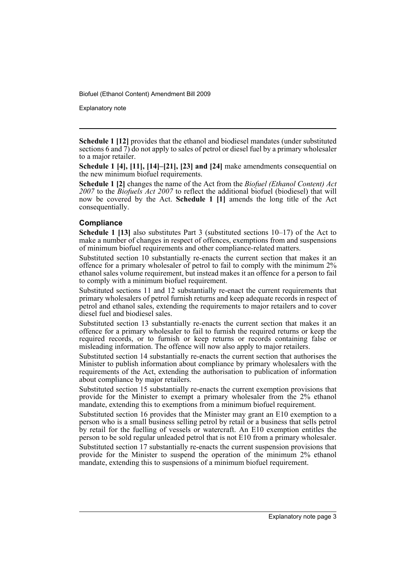Explanatory note

**Schedule 1 [12]** provides that the ethanol and biodiesel mandates (under substituted sections 6 and 7) do not apply to sales of petrol or diesel fuel by a primary wholesaler to a major retailer.

**Schedule 1 [4], [11], [14]–[21], [23] and [24]** make amendments consequential on the new minimum biofuel requirements.

**Schedule 1 [2]** changes the name of the Act from the *Biofuel (Ethanol Content) Act 2007* to the *Biofuels Act 2007* to reflect the additional biofuel (biodiesel) that will now be covered by the Act. **Schedule 1 [1]** amends the long title of the Act consequentially.

#### **Compliance**

**Schedule 1 [13]** also substitutes Part 3 (substituted sections 10–17) of the Act to make a number of changes in respect of offences, exemptions from and suspensions of minimum biofuel requirements and other compliance-related matters.

Substituted section 10 substantially re-enacts the current section that makes it an offence for a primary wholesaler of petrol to fail to comply with the minimum 2% ethanol sales volume requirement, but instead makes it an offence for a person to fail to comply with a minimum biofuel requirement.

Substituted sections 11 and 12 substantially re-enact the current requirements that primary wholesalers of petrol furnish returns and keep adequate records in respect of petrol and ethanol sales, extending the requirements to major retailers and to cover diesel fuel and biodiesel sales.

Substituted section 13 substantially re-enacts the current section that makes it an offence for a primary wholesaler to fail to furnish the required returns or keep the required records, or to furnish or keep returns or records containing false or misleading information. The offence will now also apply to major retailers.

Substituted section 14 substantially re-enacts the current section that authorises the Minister to publish information about compliance by primary wholesalers with the requirements of the Act, extending the authorisation to publication of information about compliance by major retailers.

Substituted section 15 substantially re-enacts the current exemption provisions that provide for the Minister to exempt a primary wholesaler from the 2% ethanol mandate, extending this to exemptions from a minimum biofuel requirement.

Substituted section 16 provides that the Minister may grant an E10 exemption to a person who is a small business selling petrol by retail or a business that sells petrol by retail for the fuelling of vessels or watercraft. An E10 exemption entitles the person to be sold regular unleaded petrol that is not E10 from a primary wholesaler.

Substituted section 17 substantially re-enacts the current suspension provisions that provide for the Minister to suspend the operation of the minimum 2% ethanol mandate, extending this to suspensions of a minimum biofuel requirement.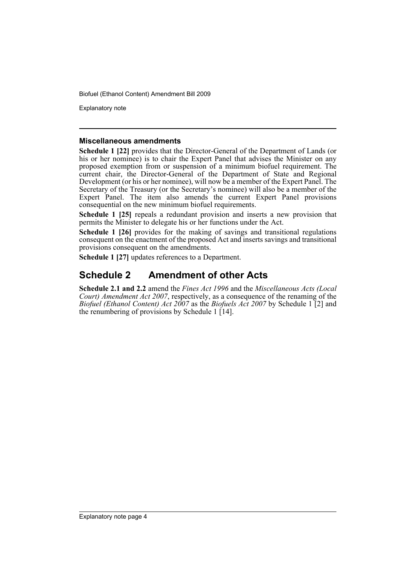Explanatory note

#### **Miscellaneous amendments**

**Schedule 1 [22]** provides that the Director-General of the Department of Lands (or his or her nominee) is to chair the Expert Panel that advises the Minister on any proposed exemption from or suspension of a minimum biofuel requirement. The current chair, the Director-General of the Department of State and Regional Development (or his or her nominee), will now be a member of the Expert Panel. The Secretary of the Treasury (or the Secretary's nominee) will also be a member of the Expert Panel. The item also amends the current Expert Panel provisions consequential on the new minimum biofuel requirements.

**Schedule 1 [25]** repeals a redundant provision and inserts a new provision that permits the Minister to delegate his or her functions under the Act.

**Schedule 1 [26]** provides for the making of savings and transitional regulations consequent on the enactment of the proposed Act and inserts savings and transitional provisions consequent on the amendments.

**Schedule 1 [27]** updates references to a Department.

### **Schedule 2 Amendment of other Acts**

**Schedule 2.1 and 2.2** amend the *Fines Act 1996* and the *Miscellaneous Acts (Local Court) Amendment Act 2007*, respectively, as a consequence of the renaming of the *Biofuel (Ethanol Content) Act 2007* as the *Biofuels Act 2007* by Schedule 1 [2] and the renumbering of provisions by Schedule 1  $[14]$ .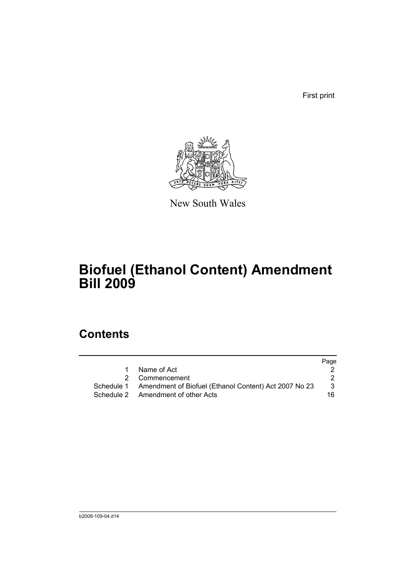First print



New South Wales

# **Biofuel (Ethanol Content) Amendment Bill 2009**

## **Contents**

|   |                                                                  | Page |
|---|------------------------------------------------------------------|------|
| 1 | Name of Act                                                      |      |
|   | 2 Commencement                                                   |      |
|   | Schedule 1 Amendment of Biofuel (Ethanol Content) Act 2007 No 23 | 3    |
|   | Schedule 2 Amendment of other Acts                               | 16   |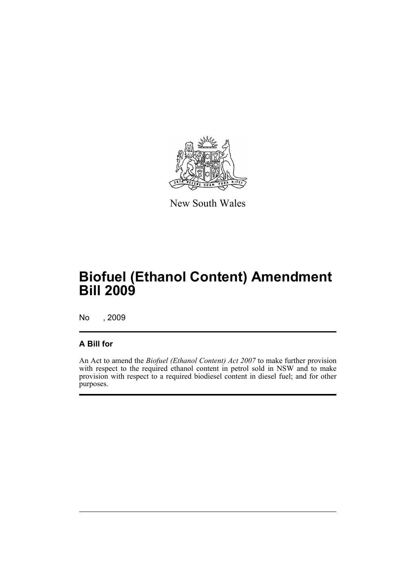

New South Wales

# **Biofuel (Ethanol Content) Amendment Bill 2009**

No , 2009

### **A Bill for**

An Act to amend the *Biofuel (Ethanol Content) Act 2007* to make further provision with respect to the required ethanol content in petrol sold in NSW and to make provision with respect to a required biodiesel content in diesel fuel; and for other purposes.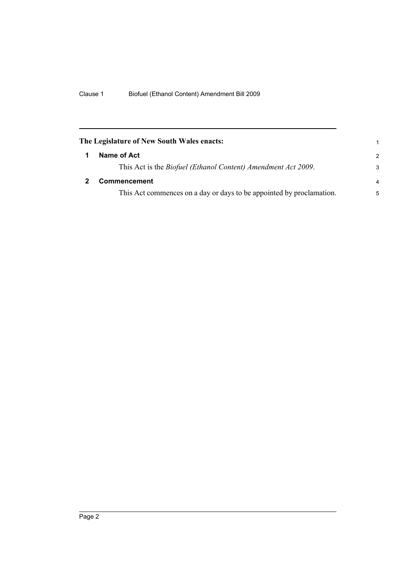<span id="page-7-1"></span><span id="page-7-0"></span>

| The Legislature of New South Wales enacts:<br>1                       |               |  |
|-----------------------------------------------------------------------|---------------|--|
| Name of Act                                                           | $\mathcal{P}$ |  |
| This Act is the <i>Biofuel (Ethanol Content) Amendment Act 2009</i> . | 3             |  |
| Commencement                                                          | 4             |  |
| This Act commences on a day or days to be appointed by proclamation.  | 5             |  |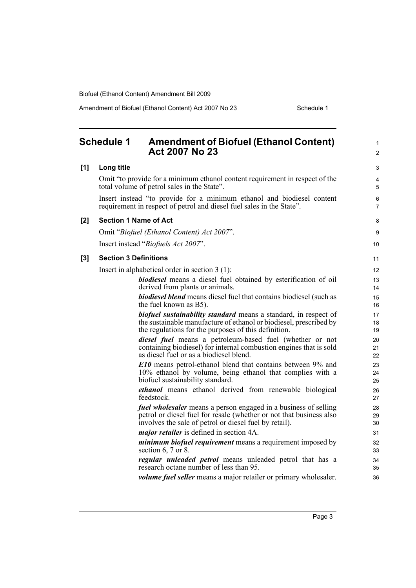Amendment of Biofuel (Ethanol Content) Act 2007 No 23 Schedule 1

<span id="page-8-0"></span>

|       | <b>Schedule 1</b><br><b>Amendment of Biofuel (Ethanol Content)</b><br><b>Act 2007 No 23</b>                                                                                                             | $\mathbf{1}$<br>2   |
|-------|---------------------------------------------------------------------------------------------------------------------------------------------------------------------------------------------------------|---------------------|
| [1]   | Long title                                                                                                                                                                                              | 3                   |
|       | Omit "to provide for a minimum ethanol content requirement in respect of the<br>total volume of petrol sales in the State".                                                                             | 4<br>5              |
|       | Insert instead "to provide for a minimum ethanol and biodiesel content<br>requirement in respect of petrol and diesel fuel sales in the State".                                                         | 6<br>$\overline{7}$ |
| [2]   | <b>Section 1 Name of Act</b>                                                                                                                                                                            | 8                   |
|       | Omit "Biofuel (Ethanol Content) Act 2007".                                                                                                                                                              | 9                   |
|       | Insert instead "Biofuels Act 2007".                                                                                                                                                                     | 10                  |
| $[3]$ | <b>Section 3 Definitions</b>                                                                                                                                                                            | 11                  |
|       | Insert in alphabetical order in section $3(1)$ :                                                                                                                                                        | 12                  |
|       | biodiesel means a diesel fuel obtained by esterification of oil<br>derived from plants or animals.                                                                                                      | 13<br>14            |
|       | <b>biodiesel blend</b> means diesel fuel that contains biodiesel (such as<br>the fuel known as B5).                                                                                                     | 15<br>16            |
|       | <b>biofuel sustainability standard</b> means a standard, in respect of<br>the sustainable manufacture of ethanol or biodiesel, prescribed by<br>the regulations for the purposes of this definition.    | 17<br>18<br>19      |
|       | diesel fuel means a petroleum-based fuel (whether or not<br>containing biodiesel) for internal combustion engines that is sold<br>as diesel fuel or as a biodiesel blend.                               | 20<br>21<br>22      |
|       | <b>E10</b> means petrol-ethanol blend that contains between 9% and<br>10% ethanol by volume, being ethanol that complies with a<br>biofuel sustainability standard.                                     | 23<br>24<br>25      |
|       | ethanol means ethanol derived from renewable biological<br>feedstock.                                                                                                                                   | 26<br>27            |
|       | <i>fuel wholesaler</i> means a person engaged in a business of selling<br>petrol or diesel fuel for resale (whether or not that business also<br>involves the sale of petrol or diesel fuel by retail). | 28<br>29<br>30      |
|       | <i>major retailer</i> is defined in section 4A.                                                                                                                                                         | 31                  |
|       | <i>minimum biofuel requirement</i> means a requirement imposed by<br>section $6, 7$ or $8.$                                                                                                             | 32<br>33            |
|       | <i>regular unleaded petrol</i> means unleaded petrol that has a<br>research octane number of less than 95.                                                                                              | 34<br>35            |
|       | <i>volume fuel seller</i> means a major retailer or primary wholesaler.                                                                                                                                 | 36                  |
|       |                                                                                                                                                                                                         |                     |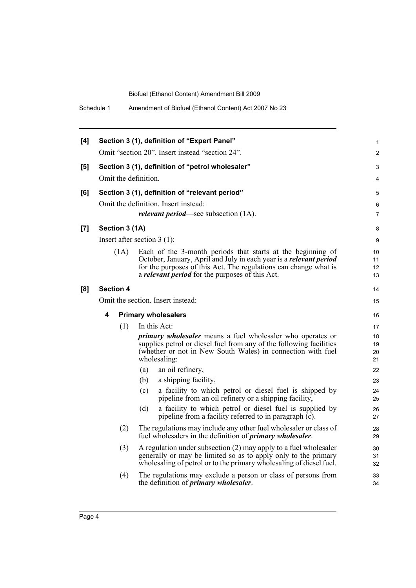| Schedule 1<br>Amendment of Biofuel (Ethanol Content) Act 2007 No 23                                                                                                                                                                                                     |  |
|-------------------------------------------------------------------------------------------------------------------------------------------------------------------------------------------------------------------------------------------------------------------------|--|
| Section 3 (1), definition of "Expert Panel"<br>[4]<br>Omit "section 20". Insert instead "section 24".                                                                                                                                                                   |  |
|                                                                                                                                                                                                                                                                         |  |
| Section 3 (1), definition of "petrol wholesaler"<br>[5]<br>Omit the definition.                                                                                                                                                                                         |  |
|                                                                                                                                                                                                                                                                         |  |
| Section 3 (1), definition of "relevant period"<br>[6]                                                                                                                                                                                                                   |  |
| Omit the definition. Insert instead:                                                                                                                                                                                                                                    |  |
| <i>relevant period</i> —see subsection (1A).                                                                                                                                                                                                                            |  |
| Section 3 (1A)<br>[7]                                                                                                                                                                                                                                                   |  |
| Insert after section $3(1)$ :                                                                                                                                                                                                                                           |  |
| (1A)<br>Each of the 3-month periods that starts at the beginning of<br>October, January, April and July in each year is a relevant period<br>for the purposes of this Act. The regulations can change what is<br>a <i>relevant period</i> for the purposes of this Act. |  |
| [8]<br><b>Section 4</b>                                                                                                                                                                                                                                                 |  |
| Omit the section. Insert instead:                                                                                                                                                                                                                                       |  |
| 4<br><b>Primary wholesalers</b>                                                                                                                                                                                                                                         |  |
| In this Act:<br>(1)                                                                                                                                                                                                                                                     |  |
| <i>primary wholesaler</i> means a fuel wholesaler who operates or<br>supplies petrol or diesel fuel from any of the following facilities<br>(whether or not in New South Wales) in connection with fuel<br>wholesaling:                                                 |  |
| an oil refinery,<br>(a)                                                                                                                                                                                                                                                 |  |
| a shipping facility,<br>(b)                                                                                                                                                                                                                                             |  |
| a facility to which petrol or diesel fuel is shipped by<br>(c)<br>pipeline from an oil refinery or a shipping facility,                                                                                                                                                 |  |
| a facility to which petrol or diesel fuel is supplied by<br>(d)<br>pipeline from a facility referred to in paragraph $(c)$ .                                                                                                                                            |  |
| (2)<br>The regulations may include any other fuel wholesaler or class of<br>fuel wholesalers in the definition of <i>primary wholesaler</i> .                                                                                                                           |  |
| A regulation under subsection (2) may apply to a fuel wholesaler<br>(3)<br>generally or may be limited so as to apply only to the primary<br>wholesaling of petrol or to the primary wholesaling of diesel fuel.                                                        |  |
| (4)<br>The regulations may exclude a person or class of persons from<br>the definition of <i>primary</i> wholesaler.                                                                                                                                                    |  |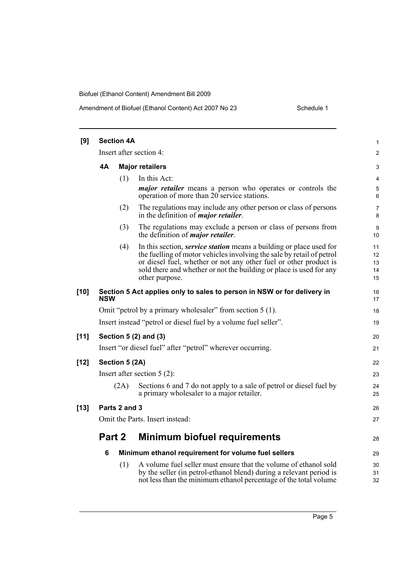#### Amendment of Biofuel (Ethanol Content) Act 2007 No 23 Schedule 1

| [9]    |            | <b>Section 4A</b> |                                                                                                                                                                                                                                                                                                                   | 1                          |
|--------|------------|-------------------|-------------------------------------------------------------------------------------------------------------------------------------------------------------------------------------------------------------------------------------------------------------------------------------------------------------------|----------------------------|
|        |            |                   | Insert after section 4:                                                                                                                                                                                                                                                                                           | $\overline{c}$             |
|        | <b>4A</b>  |                   | <b>Major retailers</b>                                                                                                                                                                                                                                                                                            | 3                          |
|        |            | (1)               | In this Act:                                                                                                                                                                                                                                                                                                      | 4                          |
|        |            |                   | <i>major retailer</i> means a person who operates or controls the<br>operation of more than 20 service stations.                                                                                                                                                                                                  | 5<br>6                     |
|        |            | (2)               | The regulations may include any other person or class of persons<br>in the definition of <i>major retailer</i> .                                                                                                                                                                                                  | 7<br>8                     |
|        |            | (3)               | The regulations may exclude a person or class of persons from<br>the definition of <i>major retailer</i> .                                                                                                                                                                                                        | 9<br>10                    |
|        |            | (4)               | In this section, <i>service station</i> means a building or place used for<br>the fuelling of motor vehicles involving the sale by retail of petrol<br>or diesel fuel, whether or not any other fuel or other product is<br>sold there and whether or not the building or place is used for any<br>other purpose. | 11<br>12<br>13<br>14<br>15 |
| $[10]$ | <b>NSW</b> |                   | Section 5 Act applies only to sales to person in NSW or for delivery in                                                                                                                                                                                                                                           | 16<br>17                   |
|        |            |                   | Omit "petrol by a primary wholesaler" from section 5 (1).                                                                                                                                                                                                                                                         | 18                         |
|        |            |                   | Insert instead "petrol or diesel fuel by a volume fuel seller".                                                                                                                                                                                                                                                   | 19                         |
| $[11]$ |            |                   | Section 5 (2) and (3)                                                                                                                                                                                                                                                                                             | 20                         |
|        |            |                   | Insert "or diesel fuel" after "petrol" wherever occurring.                                                                                                                                                                                                                                                        | 21                         |
| $[12]$ |            | Section 5 (2A)    |                                                                                                                                                                                                                                                                                                                   | 22                         |
|        |            |                   | Insert after section $5(2)$ :                                                                                                                                                                                                                                                                                     | 23                         |
|        |            | (2A)              | Sections 6 and 7 do not apply to a sale of petrol or diesel fuel by<br>a primary wholesaler to a major retailer.                                                                                                                                                                                                  | 24<br>25                   |
| $[13]$ |            | Parts 2 and 3     |                                                                                                                                                                                                                                                                                                                   | 26                         |
|        |            |                   | Omit the Parts. Insert instead:                                                                                                                                                                                                                                                                                   | 27                         |
|        | Part 2     |                   | <b>Minimum biofuel requirements</b>                                                                                                                                                                                                                                                                               | 28                         |
|        | 6          |                   | Minimum ethanol requirement for volume fuel sellers                                                                                                                                                                                                                                                               | 29                         |
|        |            | (1)               | A volume fuel seller must ensure that the volume of ethanol sold<br>by the seller (in petrol-ethanol blend) during a relevant period is<br>not less than the minimum ethanol percentage of the total volume                                                                                                       | 30<br>31<br>32             |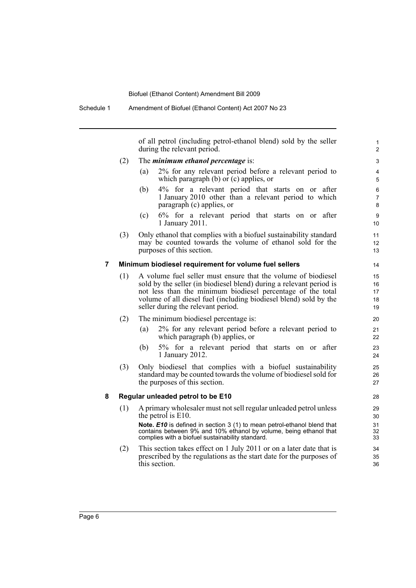of all petrol (including petrol-ethanol blend) sold by the seller during the relevant period.

- (2) The *minimum ethanol percentage* is:
	- (a) 2% for any relevant period before a relevant period to which paragraph (b) or (c) applies, or
	- (b) 4% for a relevant period that starts on or after 1 January 2010 other than a relevant period to which paragraph (c) applies, or
	- (c) 6% for a relevant period that starts on or after 1 January 2011.
- (3) Only ethanol that complies with a biofuel sustainability standard may be counted towards the volume of ethanol sold for the purposes of this section.

#### **7 Minimum biodiesel requirement for volume fuel sellers**

- (1) A volume fuel seller must ensure that the volume of biodiesel sold by the seller (in biodiesel blend) during a relevant period is not less than the minimum biodiesel percentage of the total volume of all diesel fuel (including biodiesel blend) sold by the seller during the relevant period.
- (2) The minimum biodiesel percentage is:
	- (a) 2% for any relevant period before a relevant period to which paragraph (b) applies, or
	- (b) 5% for a relevant period that starts on or after 1 January 2012.
- (3) Only biodiesel that complies with a biofuel sustainability standard may be counted towards the volume of biodiesel sold for the purposes of this section.

#### **8 Regular unleaded petrol to be E10**

(1) A primary wholesaler must not sell regular unleaded petrol unless the petrol is E10.

**Note.** *E10* is defined in section 3 (1) to mean petrol-ethanol blend that contains between 9% and 10% ethanol by volume, being ethanol that complies with a biofuel sustainability standard.

(2) This section takes effect on 1 July 2011 or on a later date that is prescribed by the regulations as the start date for the purposes of this section.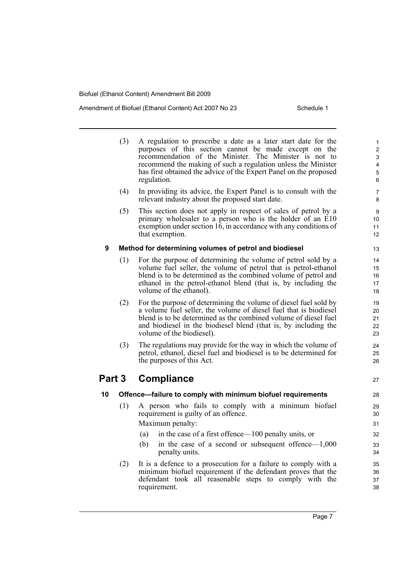#### Amendment of Biofuel (Ethanol Content) Act 2007 No 23 Schedule 1

(3) A regulation to prescribe a date as a later start date for the purposes of this section cannot be made except on the recommendation of the Minister. The Minister is not to recommend the making of such a regulation unless the Minister has first obtained the advice of the Expert Panel on the proposed regulation. (4) In providing its advice, the Expert Panel is to consult with the relevant industry about the proposed start date. (5) This section does not apply in respect of sales of petrol by a primary wholesaler to a person who is the holder of an E10 exemption under section  $1\overline{6}$ , in accordance with any conditions of that exemption. **9 Method for determining volumes of petrol and biodiesel** (1) For the purpose of determining the volume of petrol sold by a volume fuel seller, the volume of petrol that is petrol-ethanol blend is to be determined as the combined volume of petrol and ethanol in the petrol-ethanol blend (that is, by including the volume of the ethanol). (2) For the purpose of determining the volume of diesel fuel sold by a volume fuel seller, the volume of diesel fuel that is biodiesel blend is to be determined as the combined volume of diesel fuel and biodiesel in the biodiesel blend (that is, by including the volume of the biodiesel). (3) The regulations may provide for the way in which the volume of petrol, ethanol, diesel fuel and biodiesel is to be determined for the purposes of this Act. **Part 3 Compliance 10 Offence—failure to comply with minimum biofuel requirements** (1) A person who fails to comply with a minimum biofuel requirement is guilty of an offence. Maximum penalty: (a) in the case of a first offence—100 penalty units, or (b) in the case of a second or subsequent offence—1,000 penalty units. (2) It is a defence to a prosecution for a failure to comply with a minimum biofuel requirement if the defendant proves that the defendant took all reasonable steps to comply with the requirement. 10 11 12 13 14 15 16 17 18 19  $20$ 21 22 23 24 25 26 27 28 29 30 31 32 33 34 35 36 37 38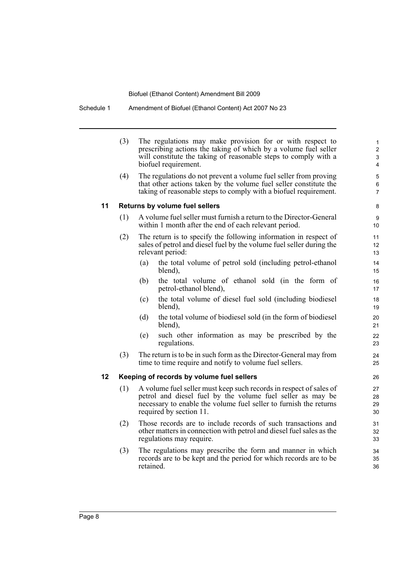Schedule 1 Amendment of Biofuel (Ethanol Content) Act 2007 No 23

(3) The regulations may make provision for or with respect to prescribing actions the taking of which by a volume fuel seller will constitute the taking of reasonable steps to comply with a biofuel requirement.

(4) The regulations do not prevent a volume fuel seller from proving that other actions taken by the volume fuel seller constitute the taking of reasonable steps to comply with a biofuel requirement.

#### **11 Returns by volume fuel sellers**

- (1) A volume fuel seller must furnish a return to the Director-General within 1 month after the end of each relevant period.
- (2) The return is to specify the following information in respect of sales of petrol and diesel fuel by the volume fuel seller during the relevant period:
	- (a) the total volume of petrol sold (including petrol-ethanol blend),
	- (b) the total volume of ethanol sold (in the form of petrol-ethanol blend),
	- (c) the total volume of diesel fuel sold (including biodiesel blend),
	- (d) the total volume of biodiesel sold (in the form of biodiesel blend),
	- (e) such other information as may be prescribed by the regulations.
- (3) The return is to be in such form as the Director-General may from time to time require and notify to volume fuel sellers.

#### **12 Keeping of records by volume fuel sellers**

- (1) A volume fuel seller must keep such records in respect of sales of petrol and diesel fuel by the volume fuel seller as may be necessary to enable the volume fuel seller to furnish the returns required by section 11.
- (2) Those records are to include records of such transactions and other matters in connection with petrol and diesel fuel sales as the regulations may require.
- (3) The regulations may prescribe the form and manner in which records are to be kept and the period for which records are to be retained.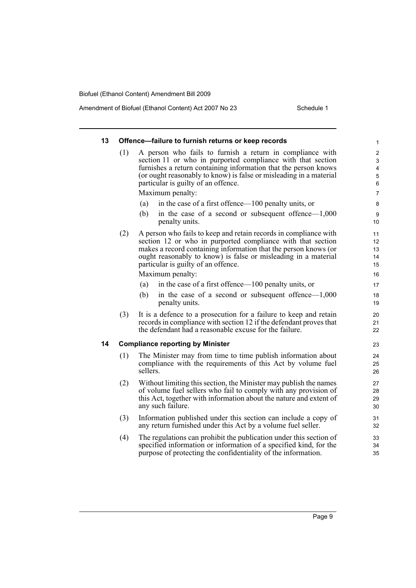#### Amendment of Biofuel (Ethanol Content) Act 2007 No 23 Schedule 1

| 13 |     | Offence-failure to furnish returns or keep records                                                                                                                                                                                                                                                          | 1                                                                  |
|----|-----|-------------------------------------------------------------------------------------------------------------------------------------------------------------------------------------------------------------------------------------------------------------------------------------------------------------|--------------------------------------------------------------------|
|    | (1) | A person who fails to furnish a return in compliance with<br>section 11 or who in purported compliance with that section<br>furnishes a return containing information that the person knows<br>(or ought reasonably to know) is false or misleading in a material<br>particular is guilty of an offence.    | $\overline{c}$<br>3<br>$\overline{\mathbf{4}}$<br>$\mathbf 5$<br>6 |
|    |     | Maximum penalty:                                                                                                                                                                                                                                                                                            | $\overline{7}$                                                     |
|    |     | in the case of a first offence—100 penalty units, or<br>(a)                                                                                                                                                                                                                                                 | 8                                                                  |
|    |     | (b)<br>in the case of a second or subsequent offence— $1,000$<br>penalty units.                                                                                                                                                                                                                             | $\boldsymbol{9}$<br>10                                             |
|    | (2) | A person who fails to keep and retain records in compliance with<br>section 12 or who in purported compliance with that section<br>makes a record containing information that the person knows (or<br>ought reasonably to know) is false or misleading in a material<br>particular is guilty of an offence. | 11<br>12<br>13<br>14<br>15                                         |
|    |     | Maximum penalty:                                                                                                                                                                                                                                                                                            | 16                                                                 |
|    |     | in the case of a first offence—100 penalty units, or<br>(a)                                                                                                                                                                                                                                                 | 17                                                                 |
|    |     | (b)<br>in the case of a second or subsequent offence— $1,000$<br>penalty units.                                                                                                                                                                                                                             | 18<br>19                                                           |
|    | (3) | It is a defence to a prosecution for a failure to keep and retain<br>records in compliance with section 12 if the defendant proves that<br>the defendant had a reasonable excuse for the failure.                                                                                                           | 20<br>21<br>22                                                     |
| 14 |     | <b>Compliance reporting by Minister</b>                                                                                                                                                                                                                                                                     | 23                                                                 |
|    | (1) | The Minister may from time to time publish information about<br>compliance with the requirements of this Act by volume fuel<br>sellers.                                                                                                                                                                     | 24<br>25<br>26                                                     |
|    | (2) | Without limiting this section, the Minister may publish the names<br>of volume fuel sellers who fail to comply with any provision of<br>this Act, together with information about the nature and extent of<br>any such failure.                                                                             | 27<br>28<br>29<br>30                                               |
|    | (3) | Information published under this section can include a copy of<br>any return furnished under this Act by a volume fuel seller.                                                                                                                                                                              | 31<br>32                                                           |
|    | (4) | The regulations can prohibit the publication under this section of<br>specified information or information of a specified kind, for the<br>purpose of protecting the confidentiality of the information.                                                                                                    | 33<br>34<br>35                                                     |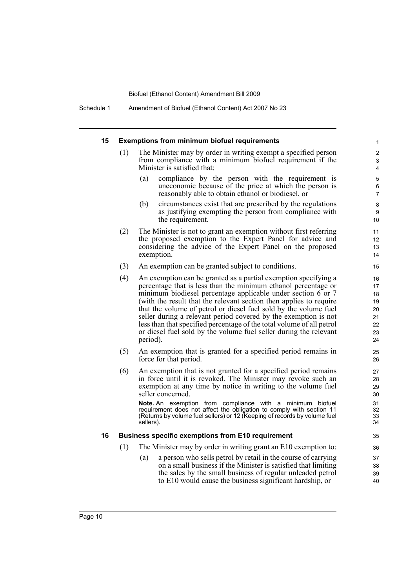#### **15 Exemptions from minimum biofuel requirements**

- The Minister may by order in writing exempt a specified person from compliance with a minimum biofuel requirement if the Minister is satisfied that:
	- (a) compliance by the person with the requirement is uneconomic because of the price at which the person is reasonably able to obtain ethanol or biodiesel, or

- (b) circumstances exist that are prescribed by the regulations as justifying exempting the person from compliance with the requirement.
- (2) The Minister is not to grant an exemption without first referring the proposed exemption to the Expert Panel for advice and considering the advice of the Expert Panel on the proposed exemption.
- (3) An exemption can be granted subject to conditions.
- (4) An exemption can be granted as a partial exemption specifying a percentage that is less than the minimum ethanol percentage or minimum biodiesel percentage applicable under section 6 or 7 (with the result that the relevant section then applies to require that the volume of petrol or diesel fuel sold by the volume fuel seller during a relevant period covered by the exemption is not less than that specified percentage of the total volume of all petrol or diesel fuel sold by the volume fuel seller during the relevant period).
- (5) An exemption that is granted for a specified period remains in force for that period.
- (6) An exemption that is not granted for a specified period remains in force until it is revoked. The Minister may revoke such an exemption at any time by notice in writing to the volume fuel seller concerned.

**Note.** An exemption from compliance with a minimum biofuel requirement does not affect the obligation to comply with section 11 (Returns by volume fuel sellers) or 12 (Keeping of records by volume fuel sellers).

#### **16 Business specific exemptions from E10 requirement**

- (1) The Minister may by order in writing grant an E10 exemption to:
	- (a) a person who sells petrol by retail in the course of carrying on a small business if the Minister is satisfied that limiting the sales by the small business of regular unleaded petrol to E10 would cause the business significant hardship, or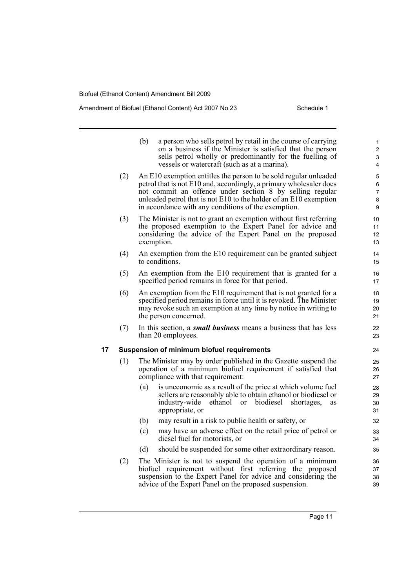#### Amendment of Biofuel (Ethanol Content) Act 2007 No 23 Schedule 1

|    |     | (b) | a person who sells petrol by retail in the course of carrying<br>on a business if the Minister is satisfied that the person<br>sells petrol wholly or predominantly for the fuelling of<br>vessels or watercraft (such as at a marina).                                                                                        | 1<br>$\overline{2}$<br>3<br>4 |
|----|-----|-----|--------------------------------------------------------------------------------------------------------------------------------------------------------------------------------------------------------------------------------------------------------------------------------------------------------------------------------|-------------------------------|
|    | (2) |     | An E10 exemption entitles the person to be sold regular unleaded<br>petrol that is not E10 and, accordingly, a primary wholesaler does<br>not commit an offence under section 8 by selling regular<br>unleaded petrol that is not E10 to the holder of an E10 exemption<br>in accordance with any conditions of the exemption. | 5<br>6<br>7<br>8<br>9         |
|    | (3) |     | The Minister is not to grant an exemption without first referring<br>the proposed exemption to the Expert Panel for advice and<br>considering the advice of the Expert Panel on the proposed<br>exemption.                                                                                                                     | 10<br>11<br>12<br>13          |
|    | (4) |     | An exemption from the E10 requirement can be granted subject<br>to conditions.                                                                                                                                                                                                                                                 | 14<br>15                      |
|    | (5) |     | An exemption from the E10 requirement that is granted for a<br>specified period remains in force for that period.                                                                                                                                                                                                              | 16<br>17                      |
|    | (6) |     | An exemption from the E10 requirement that is not granted for a<br>specified period remains in force until it is revoked. The Minister<br>may revoke such an exemption at any time by notice in writing to<br>the person concerned.                                                                                            | 18<br>19<br>20<br>21          |
|    | (7) |     | In this section, a <b>small business</b> means a business that has less<br>than 20 employees.                                                                                                                                                                                                                                  | 22<br>23                      |
| 17 |     |     | <b>Suspension of minimum biofuel requirements</b>                                                                                                                                                                                                                                                                              | 24                            |
|    | (1) |     | The Minister may by order published in the Gazette suspend the<br>operation of a minimum biofuel requirement if satisfied that<br>compliance with that requirement:                                                                                                                                                            | 25<br>26<br>27                |
|    |     | (a) | is uneconomic as a result of the price at which volume fuel<br>sellers are reasonably able to obtain ethanol or biodiesel or<br>industry-wide<br>ethanol<br>or biodiesel<br>shortages,<br>as<br>appropriate, or                                                                                                                | 28<br>29<br>30<br>31          |
|    |     | (b) | may result in a risk to public health or safety, or                                                                                                                                                                                                                                                                            | 32                            |
|    |     | (c) | may have an adverse effect on the retail price of petrol or<br>diesel fuel for motorists, or                                                                                                                                                                                                                                   | 33<br>34                      |
|    |     | (d) | should be suspended for some other extraordinary reason.                                                                                                                                                                                                                                                                       | 35                            |
|    | (2) |     | The Minister is not to suspend the operation of a minimum<br>biofuel requirement without first referring the proposed<br>suspension to the Expert Panel for advice and considering the<br>advice of the Expert Panel on the proposed suspension.                                                                               | 36<br>37<br>38<br>39          |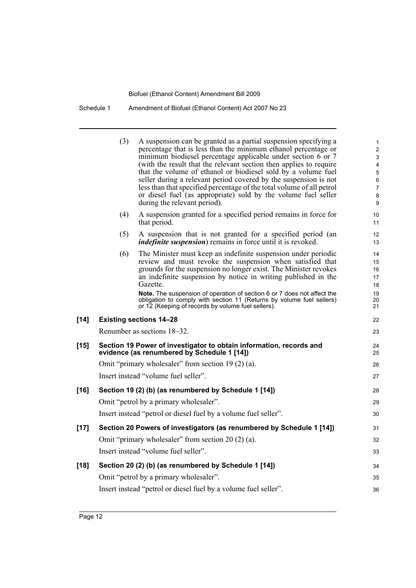|        | (3) | A suspension can be granted as a partial suspension specifying a<br>percentage that is less than the minimum ethanol percentage or<br>minimum biodiesel percentage applicable under section 6 or 7<br>(with the result that the relevant section then applies to require<br>that the volume of ethanol or biodiesel sold by a volume fuel<br>seller during a relevant period covered by the suspension is not<br>less than that specified percentage of the total volume of all petrol<br>or diesel fuel (as appropriate) sold by the volume fuel seller<br>during the relevant period). | 1<br>$\overline{\mathbf{c}}$<br>3<br>4<br>5<br>6<br>7<br>8<br>9 |
|--------|-----|------------------------------------------------------------------------------------------------------------------------------------------------------------------------------------------------------------------------------------------------------------------------------------------------------------------------------------------------------------------------------------------------------------------------------------------------------------------------------------------------------------------------------------------------------------------------------------------|-----------------------------------------------------------------|
|        | (4) | A suspension granted for a specified period remains in force for<br>that period.                                                                                                                                                                                                                                                                                                                                                                                                                                                                                                         | 10<br>11                                                        |
|        | (5) | A suspension that is not granted for a specified period (an<br><i>indefinite suspension</i> ) remains in force until it is revoked.                                                                                                                                                                                                                                                                                                                                                                                                                                                      | 12<br>13                                                        |
|        | (6) | The Minister must keep an indefinite suspension under periodic<br>review and must revoke the suspension when satisfied that<br>grounds for the suspension no longer exist. The Minister revokes<br>an indefinite suspension by notice in writing published in the<br>Gazette.<br>Note. The suspension of operation of section 6 or 7 does not affect the<br>obligation to comply with section 11 (Returns by volume fuel sellers)<br>or 12 (Keeping of records by volume fuel sellers).                                                                                                  | 14<br>15<br>16<br>17<br>18<br>19<br>20<br>21                    |
| $[14]$ |     | <b>Existing sections 14-28</b>                                                                                                                                                                                                                                                                                                                                                                                                                                                                                                                                                           | 22                                                              |
|        |     | Renumber as sections 18–32.                                                                                                                                                                                                                                                                                                                                                                                                                                                                                                                                                              | 23                                                              |
| [15]   |     | Section 19 Power of investigator to obtain information, records and<br>evidence (as renumbered by Schedule 1 [14])                                                                                                                                                                                                                                                                                                                                                                                                                                                                       | 24<br>25                                                        |
|        |     | Omit "primary wholesaler" from section 19 (2) (a).                                                                                                                                                                                                                                                                                                                                                                                                                                                                                                                                       | 26                                                              |
|        |     | Insert instead "volume fuel seller".                                                                                                                                                                                                                                                                                                                                                                                                                                                                                                                                                     | 27                                                              |
| [16]   |     | Section 19 (2) (b) (as renumbered by Schedule 1 [14])                                                                                                                                                                                                                                                                                                                                                                                                                                                                                                                                    | 28                                                              |
|        |     | Omit "petrol by a primary wholesaler".                                                                                                                                                                                                                                                                                                                                                                                                                                                                                                                                                   | 29                                                              |
|        |     | Insert instead "petrol or diesel fuel by a volume fuel seller".                                                                                                                                                                                                                                                                                                                                                                                                                                                                                                                          | 30                                                              |
| [17]   |     | Section 20 Powers of investigators (as renumbered by Schedule 1 [14])                                                                                                                                                                                                                                                                                                                                                                                                                                                                                                                    | 31                                                              |
|        |     | Omit "primary wholesaler" from section $20(2)(a)$ .                                                                                                                                                                                                                                                                                                                                                                                                                                                                                                                                      | 32                                                              |
|        |     | Insert instead "volume fuel seller".                                                                                                                                                                                                                                                                                                                                                                                                                                                                                                                                                     | 33                                                              |
| $[18]$ |     | Section 20 (2) (b) (as renumbered by Schedule 1 [14])                                                                                                                                                                                                                                                                                                                                                                                                                                                                                                                                    | 34                                                              |
|        |     | Omit "petrol by a primary wholesaler".                                                                                                                                                                                                                                                                                                                                                                                                                                                                                                                                                   | 35                                                              |
|        |     | Insert instead "petrol or diesel fuel by a volume fuel seller".                                                                                                                                                                                                                                                                                                                                                                                                                                                                                                                          | 36                                                              |
|        |     |                                                                                                                                                                                                                                                                                                                                                                                                                                                                                                                                                                                          |                                                                 |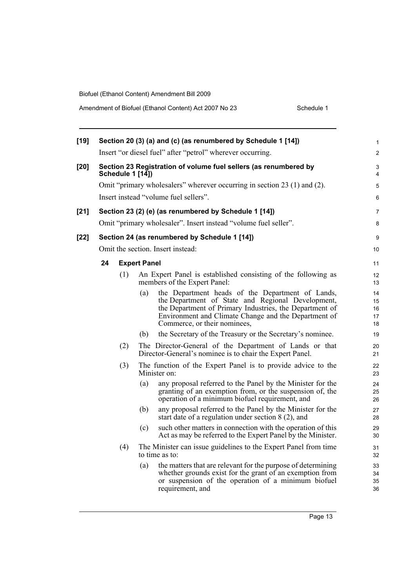Amendment of Biofuel (Ethanol Content) Act 2007 No 23

| Schedule 1 |  |
|------------|--|
|            |  |
|            |  |

| [19] |    |                         | Section 20 (3) (a) and (c) (as renumbered by Schedule 1 [14])                                                                                                                                                                                                   | 1                          |
|------|----|-------------------------|-----------------------------------------------------------------------------------------------------------------------------------------------------------------------------------------------------------------------------------------------------------------|----------------------------|
|      |    |                         | Insert "or diesel fuel" after "petrol" wherever occurring.                                                                                                                                                                                                      | $\overline{2}$             |
| [20] |    | <b>Schedule 1 [14])</b> | Section 23 Registration of volume fuel sellers (as renumbered by                                                                                                                                                                                                | 3<br>4                     |
|      |    |                         | Omit "primary wholesalers" wherever occurring in section 23 (1) and (2).                                                                                                                                                                                        | 5                          |
|      |    |                         | Insert instead "volume fuel sellers".                                                                                                                                                                                                                           | 6                          |
| [21] |    |                         | Section 23 (2) (e) (as renumbered by Schedule 1 [14])                                                                                                                                                                                                           | 7                          |
|      |    |                         | Omit "primary wholesaler". Insert instead "volume fuel seller".                                                                                                                                                                                                 | 8                          |
| [22] |    |                         | Section 24 (as renumbered by Schedule 1 [14])                                                                                                                                                                                                                   | 9                          |
|      |    |                         | Omit the section. Insert instead:                                                                                                                                                                                                                               | 10                         |
|      | 24 |                         | <b>Expert Panel</b>                                                                                                                                                                                                                                             | 11                         |
|      |    | (1)                     | An Expert Panel is established consisting of the following as<br>members of the Expert Panel:                                                                                                                                                                   | 12<br>13                   |
|      |    |                         | the Department heads of the Department of Lands,<br>(a)<br>the Department of State and Regional Development,<br>the Department of Primary Industries, the Department of<br>Environment and Climate Change and the Department of<br>Commerce, or their nominees, | 14<br>15<br>16<br>17<br>18 |
|      |    |                         | the Secretary of the Treasury or the Secretary's nominee.<br>(b)                                                                                                                                                                                                | 19                         |
|      |    | (2)                     | The Director-General of the Department of Lands or that<br>Director-General's nominee is to chair the Expert Panel.                                                                                                                                             | 20<br>21                   |
|      |    | (3)                     | The function of the Expert Panel is to provide advice to the<br>Minister on:                                                                                                                                                                                    | 22<br>23                   |
|      |    |                         | any proposal referred to the Panel by the Minister for the<br>(a)<br>granting of an exemption from, or the suspension of, the<br>operation of a minimum biofuel requirement, and                                                                                | 24<br>25<br>26             |
|      |    |                         | any proposal referred to the Panel by the Minister for the<br>(b)<br>start date of a regulation under section $8(2)$ , and                                                                                                                                      | 27<br>28                   |
|      |    |                         | such other matters in connection with the operation of this<br>(c)<br>Act as may be referred to the Expert Panel by the Minister.                                                                                                                               | 29<br>30                   |
|      |    | (4)                     | The Minister can issue guidelines to the Expert Panel from time<br>to time as to:                                                                                                                                                                               | 31<br>32                   |
|      |    |                         | the matters that are relevant for the purpose of determining<br>(a)<br>whether grounds exist for the grant of an exemption from<br>or suspension of the operation of a minimum biofuel<br>requirement, and                                                      | 33<br>34<br>35<br>36       |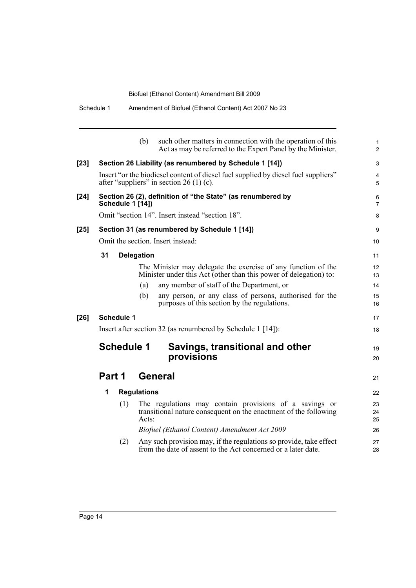|        | Schedule 1        | Amendment of Biofuel (Ethanol Content) Act 2007 No 23                                                                               |
|--------|-------------------|-------------------------------------------------------------------------------------------------------------------------------------|
|        |                   | (b)<br>such other matters in connection with the operation of this<br>Act as may be referred to the Expert Panel by the Minister.   |
| $[23]$ |                   | Section 26 Liability (as renumbered by Schedule 1 [14])                                                                             |
|        |                   | Insert "or the biodiesel content of diesel fuel supplied by diesel fuel suppliers"<br>after "suppliers" in section 26 (1) (c).      |
| $[24]$ | Schedule 1 [14])  | Section 26 (2), definition of "the State" (as renumbered by                                                                         |
|        |                   | Omit "section 14". Insert instead "section 18".                                                                                     |
| $[25]$ |                   | Section 31 (as renumbered by Schedule 1 [14])                                                                                       |
|        |                   | Omit the section. Insert instead:                                                                                                   |
|        | 31                | <b>Delegation</b>                                                                                                                   |
|        |                   | The Minister may delegate the exercise of any function of the<br>Minister under this Act (other than this power of delegation) to:  |
|        |                   | any member of staff of the Department, or<br>(a)                                                                                    |
|        |                   | any person, or any class of persons, authorised for the<br>(b)<br>purposes of this section by the regulations.                      |
| $[26]$ | <b>Schedule 1</b> |                                                                                                                                     |
|        |                   | Insert after section 32 (as renumbered by Schedule 1 [14]):                                                                         |
|        | <b>Schedule 1</b> | Savings, transitional and other<br>provisions                                                                                       |
|        | Part 1            | General                                                                                                                             |
|        | 1                 | <b>Regulations</b>                                                                                                                  |
|        | (1)               | The regulations may contain provisions of a savings or<br>transitional nature consequent on the enactment of the following<br>Acts: |
|        |                   |                                                                                                                                     |

1 2

3 4 5

19 20

21

*Biofuel (Ethanol Content) Amendment Act 2009*

(2) Any such provision may, if the regulations so provide, take effect from the date of assent to the Act concerned or a later date.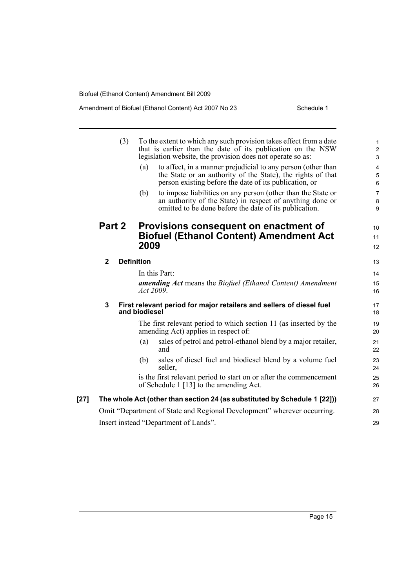|        |                                                                                       | (3)                                   | (a)<br>(b)                                                                                                | To the extent to which any such provision takes effect from a date<br>that is earlier than the date of its publication on the NSW<br>legislation website, the provision does not operate so as:<br>to affect, in a manner prejudicial to any person (other than<br>the State or an authority of the State), the rights of that<br>person existing before the date of its publication, or<br>to impose liabilities on any person (other than the State or<br>an authority of the State) in respect of anything done or<br>omitted to be done before the date of its publication. | $\mathbf{1}$<br>$\boldsymbol{2}$<br>$\mathfrak{S}$<br>$\overline{4}$<br>$\mathbf 5$<br>6<br>$\overline{7}$<br>8<br>9 |  |  |
|--------|---------------------------------------------------------------------------------------|---------------------------------------|-----------------------------------------------------------------------------------------------------------|---------------------------------------------------------------------------------------------------------------------------------------------------------------------------------------------------------------------------------------------------------------------------------------------------------------------------------------------------------------------------------------------------------------------------------------------------------------------------------------------------------------------------------------------------------------------------------|----------------------------------------------------------------------------------------------------------------------|--|--|
|        | Part 2<br>$\mathbf{2}$<br>3                                                           |                                       | Provisions consequent on enactment of<br><b>Biofuel (Ethanol Content) Amendment Act</b><br>2009           |                                                                                                                                                                                                                                                                                                                                                                                                                                                                                                                                                                                 |                                                                                                                      |  |  |
|        |                                                                                       |                                       | <b>Definition</b>                                                                                         |                                                                                                                                                                                                                                                                                                                                                                                                                                                                                                                                                                                 |                                                                                                                      |  |  |
|        |                                                                                       |                                       | In this Part:                                                                                             |                                                                                                                                                                                                                                                                                                                                                                                                                                                                                                                                                                                 |                                                                                                                      |  |  |
|        |                                                                                       |                                       | Act 2009.                                                                                                 | amending Act means the Biofuel (Ethanol Content) Amendment                                                                                                                                                                                                                                                                                                                                                                                                                                                                                                                      | 15<br>16                                                                                                             |  |  |
|        | First relevant period for major retailers and sellers of diesel fuel<br>and biodiesel |                                       |                                                                                                           |                                                                                                                                                                                                                                                                                                                                                                                                                                                                                                                                                                                 | 17<br>18                                                                                                             |  |  |
|        |                                                                                       |                                       | The first relevant period to which section 11 (as inserted by the<br>amending Act) applies in respect of: |                                                                                                                                                                                                                                                                                                                                                                                                                                                                                                                                                                                 |                                                                                                                      |  |  |
|        |                                                                                       |                                       | (a)                                                                                                       | sales of petrol and petrol-ethanol blend by a major retailer,<br>and                                                                                                                                                                                                                                                                                                                                                                                                                                                                                                            | 21<br>22                                                                                                             |  |  |
|        |                                                                                       |                                       | (b)                                                                                                       | sales of diesel fuel and biodiesel blend by a volume fuel<br>seller,                                                                                                                                                                                                                                                                                                                                                                                                                                                                                                            | 23<br>24                                                                                                             |  |  |
|        |                                                                                       |                                       |                                                                                                           | is the first relevant period to start on or after the commencement<br>of Schedule 1 [13] to the amending Act.                                                                                                                                                                                                                                                                                                                                                                                                                                                                   | 25<br>26                                                                                                             |  |  |
| $[27]$ | The whole Act (other than section 24 (as substituted by Schedule 1 [22]))             |                                       |                                                                                                           |                                                                                                                                                                                                                                                                                                                                                                                                                                                                                                                                                                                 |                                                                                                                      |  |  |
|        | Omit "Department of State and Regional Development" wherever occurring.               |                                       |                                                                                                           |                                                                                                                                                                                                                                                                                                                                                                                                                                                                                                                                                                                 |                                                                                                                      |  |  |
|        |                                                                                       | Insert instead "Department of Lands". |                                                                                                           |                                                                                                                                                                                                                                                                                                                                                                                                                                                                                                                                                                                 |                                                                                                                      |  |  |
|        |                                                                                       |                                       |                                                                                                           |                                                                                                                                                                                                                                                                                                                                                                                                                                                                                                                                                                                 |                                                                                                                      |  |  |